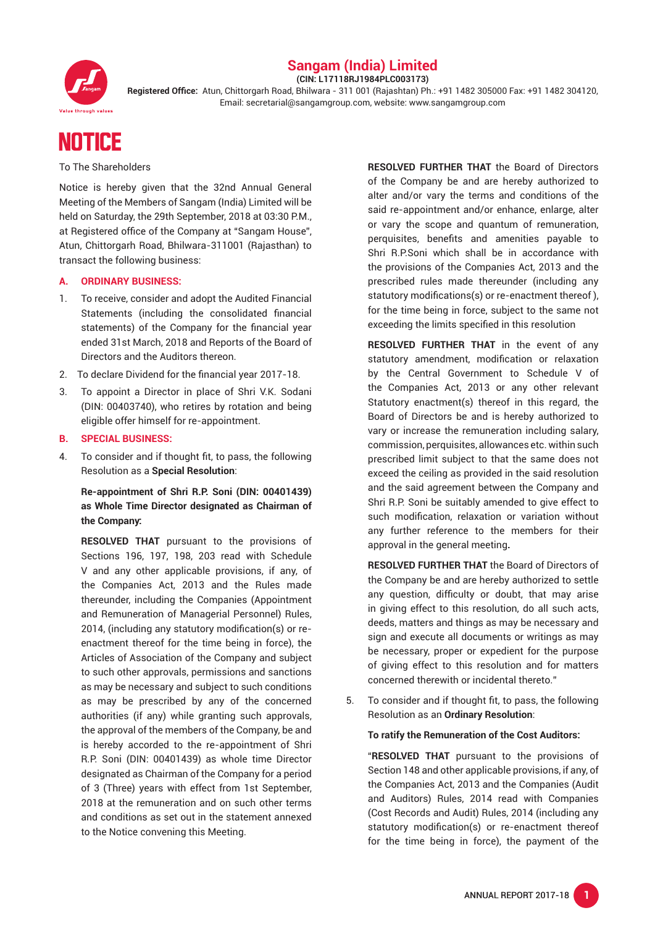

### **Sangam (India) Limited (CIN: L17118RJ1984PLC003173)**

**Registered Office:** Atun, Chittorgarh Road, Bhilwara - 311 001 (Rajashtan) Ph.: +91 1482 305000 Fax: +91 1482 304120, Email: secretarial@sangamgroup.com, website: www.sangamgroup.com

# **NOTICE**

To The Shareholders

Notice is hereby given that the 32nd Annual General Meeting of the Members of Sangam (India) Limited will be held on Saturday, the 29th September, 2018 at 03:30 P.M., at Registered office of the Company at "Sangam House", Atun, Chittorgarh Road, Bhilwara-311001 (Rajasthan) to transact the following business:

#### **A. ORDINARY BUSINESS:**

- 1. To receive, consider and adopt the Audited Financial Statements (including the consolidated financial statements) of the Company for the financial year ended 31st March, 2018 and Reports of the Board of Directors and the Auditors thereon.
- 2. To declare Dividend for the financial year 2017-18.
- 3. To appoint a Director in place of Shri V.K. Sodani (DIN: 00403740), who retires by rotation and being eligible offer himself for re-appointment.
- **B. SPECIAL BUSINESS:**
- 4. To consider and if thought fit, to pass, the following Resolution as a **Special Resolution**:

### **Re-appointment of Shri R.P. Soni (DIN: 00401439) as Whole Time Director designated as Chairman of the Company:**

**RESOLVED THAT** pursuant to the provisions of Sections 196, 197, 198, 203 read with Schedule V and any other applicable provisions, if any, of the Companies Act, 2013 and the Rules made thereunder, including the Companies (Appointment and Remuneration of Managerial Personnel) Rules, 2014, (including any statutory modification(s) or reenactment thereof for the time being in force), the Articles of Association of the Company and subject to such other approvals, permissions and sanctions as may be necessary and subject to such conditions as may be prescribed by any of the concerned authorities (if any) while granting such approvals, the approval of the members of the Company, be and is hereby accorded to the re-appointment of Shri R.P. Soni (DIN: 00401439) as whole time Director designated as Chairman of the Company for a period of 3 (Three) years with effect from 1st September, 2018 at the remuneration and on such other terms and conditions as set out in the statement annexed to the Notice convening this Meeting.

 **RESOLVED FURTHER THAT** the Board of Directors of the Company be and are hereby authorized to alter and/or vary the terms and conditions of the said re-appointment and/or enhance, enlarge, alter or vary the scope and quantum of remuneration, perquisites, benefits and amenities payable to Shri R.P.Soni which shall be in accordance with the provisions of the Companies Act, 2013 and the prescribed rules made thereunder (including any statutory modifications(s) or re-enactment thereof ), for the time being in force, subject to the same not exceeding the limits specified in this resolution

 **RESOLVED FURTHER THAT** in the event of any statutory amendment, modification or relaxation by the Central Government to Schedule V of the Companies Act, 2013 or any other relevant Statutory enactment(s) thereof in this regard, the Board of Directors be and is hereby authorized to vary or increase the remuneration including salary, commission, perquisites, allowances etc. within such prescribed limit subject to that the same does not exceed the ceiling as provided in the said resolution and the said agreement between the Company and Shri R.P. Soni be suitably amended to give effect to such modification, relaxation or variation without any further reference to the members for their approval in the general meeting**.**

**RESOLVED FURTHER THAT** the Board of Directors of the Company be and are hereby authorized to settle any question, difficulty or doubt, that may arise in giving effect to this resolution, do all such acts, deeds, matters and things as may be necessary and sign and execute all documents or writings as may be necessary, proper or expedient for the purpose of giving effect to this resolution and for matters concerned therewith or incidental thereto."

5. To consider and if thought fit, to pass, the following Resolution as an **Ordinary Resolution**:

**To ratify the Remuneration of the Cost Auditors:**

"**RESOLVED THAT** pursuant to the provisions of Section 148 and other applicable provisions, if any, of the Companies Act, 2013 and the Companies (Audit and Auditors) Rules, 2014 read with Companies (Cost Records and Audit) Rules, 2014 (including any statutory modification(s) or re-enactment thereof for the time being in force), the payment of the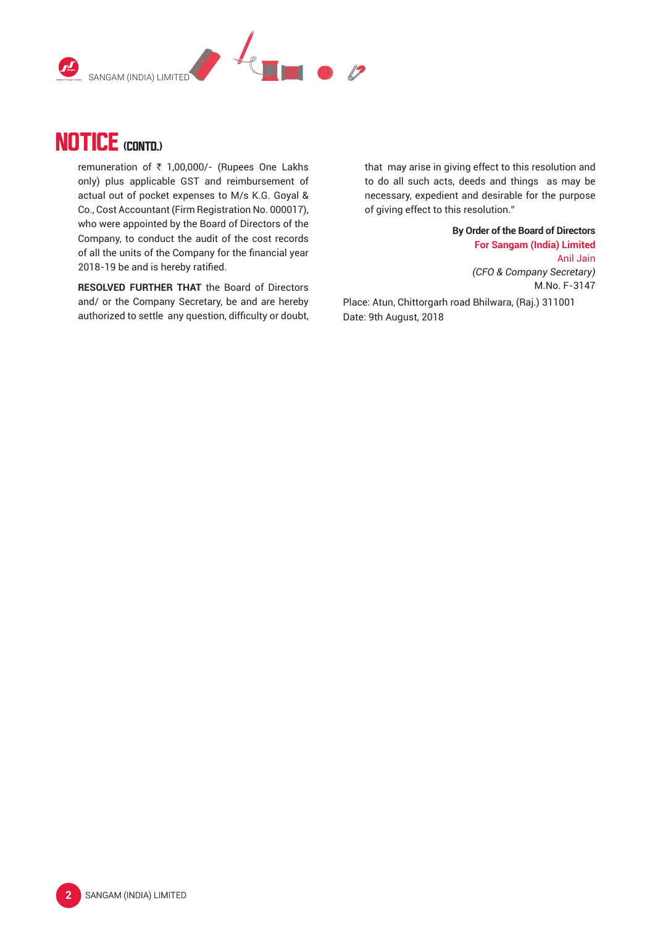



remuneration of ₹ 1,00,000/- (Rupees One Lakhs only) plus applicable GST and reimbursement of actual out of pocket expenses to M/s K.G. Goyal & Co., Cost Accountant (Firm Registration No. 000017), who were appointed by the Board of Directors of the Company, to conduct the audit of the cost records of all the units of the Company for the financial year 2018-19 be and is hereby ratified.

 **RESOLVED FURTHER THAT** the Board of Directors and/ or the Company Secretary, be and are hereby authorized to settle any question, difficulty or doubt, that may arise in giving effect to this resolution and to do all such acts, deeds and things as may be necessary, expedient and desirable for the purpose of giving effect to this resolution."

> **By Order of the Board of Directors For Sangam (India) Limited** Anil Jain  *(CFO & Company Secretary)*

> > M.No. F-3147

Place: Atun, Chittorgarh road Bhilwara, (Raj.) 311001 Date: 9th August, 2018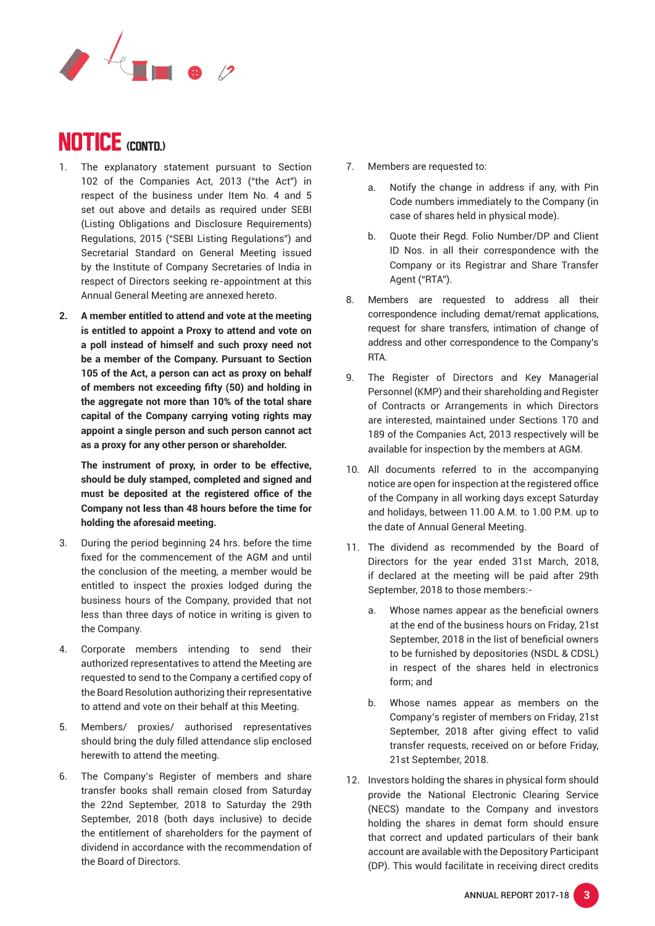

- 1. The explanatory statement pursuant to Section 102 of the Companies Act, 2013 ("the Act") in respect of the business under Item No. 4 and 5 set out above and details as required under SEBI (Listing Obligations and Disclosure Requirements) Regulations, 2015 ("SEBI Listing Regulations") and Secretarial Standard on General Meeting issued by the Institute of Company Secretaries of India in respect of Directors seeking re-appointment at this Annual General Meeting are annexed hereto.
- **2. A member entitled to attend and vote at the meeting is entitled to appoint a Proxy to attend and vote on a poll instead of himself and such proxy need not be a member of the Company. Pursuant to Section 105 of the Act, a person can act as proxy on behalf of members not exceeding fifty (50) and holding in the aggregate not more than 10% of the total share capital of the Company carrying voting rights may appoint a single person and such person cannot act as a proxy for any other person or shareholder.**

**The instrument of proxy, in order to be effective, should be duly stamped, completed and signed and must be deposited at the registered office of the Company not less than 48 hours before the time for holding the aforesaid meeting.**

- 3. During the period beginning 24 hrs. before the time fixed for the commencement of the AGM and until the conclusion of the meeting, a member would be entitled to inspect the proxies lodged during the business hours of the Company, provided that not less than three days of notice in writing is given to the Company.
- 4. Corporate members intending to send their authorized representatives to attend the Meeting are requested to send to the Company a certified copy of the Board Resolution authorizing their representative to attend and vote on their behalf at this Meeting.
- 5. Members/ proxies/ authorised representatives should bring the duly filled attendance slip enclosed herewith to attend the meeting.
- 6. The Company's Register of members and share transfer books shall remain closed from Saturday the 22nd September, 2018 to Saturday the 29th September, 2018 (both days inclusive) to decide the entitlement of shareholders for the payment of dividend in accordance with the recommendation of the Board of Directors.
- 7. Members are requested to:
	- a. Notify the change in address if any, with Pin Code numbers immediately to the Company (in case of shares held in physical mode).
	- b. Quote their Regd. Folio Number/DP and Client ID Nos. in all their correspondence with the Company or its Registrar and Share Transfer Agent ("RTA").
- 8. Members are requested to address all their correspondence including demat/remat applications, request for share transfers, intimation of change of address and other correspondence to the Company's RTA.
- 9. The Register of Directors and Key Managerial Personnel (KMP) and their shareholding and Register of Contracts or Arrangements in which Directors are interested, maintained under Sections 170 and 189 of the Companies Act, 2013 respectively will be available for inspection by the members at AGM.
- 10. All documents referred to in the accompanying notice are open for inspection at the registered office of the Company in all working days except Saturday and holidays, between 11.00 A.M. to 1.00 P.M. up to the date of Annual General Meeting.
- 11. The dividend as recommended by the Board of Directors for the year ended 31st March, 2018, if declared at the meeting will be paid after 29th September, 2018 to those members:
	- a. Whose names appear as the beneficial owners at the end of the business hours on Friday, 21st September, 2018 in the list of beneficial owners to be furnished by depositories (NSDL & CDSL) in respect of the shares held in electronics form; and
	- b. Whose names appear as members on the Company's register of members on Friday, 21st September, 2018 after giving effect to valid transfer requests, received on or before Friday, 21st September, 2018.
- 12. Investors holding the shares in physical form should provide the National Electronic Clearing Service (NECS) mandate to the Company and investors holding the shares in demat form should ensure that correct and updated particulars of their bank account are available with the Depository Participant (DP). This would facilitate in receiving direct credits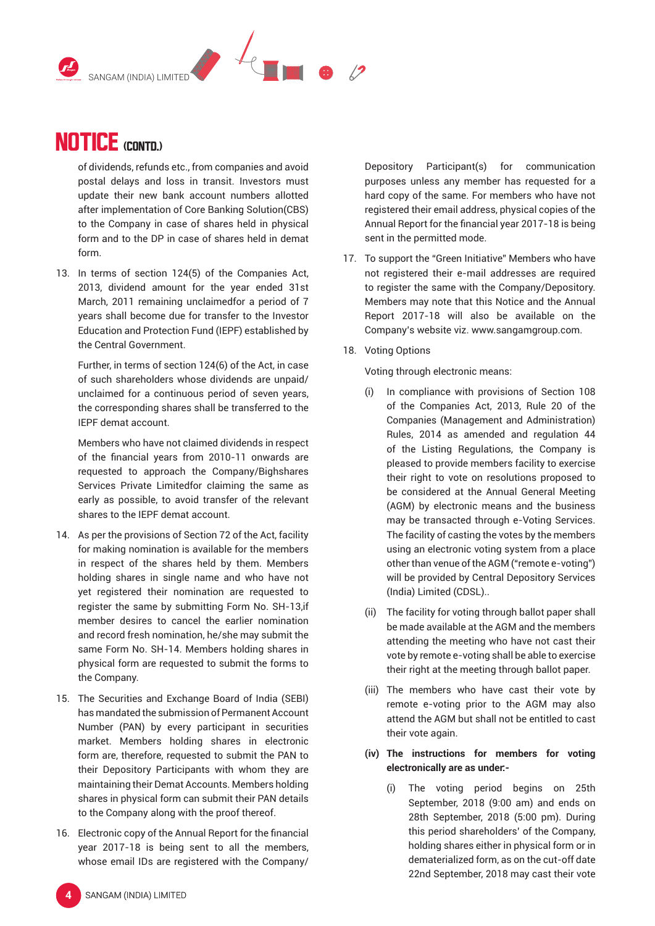

of dividends, refunds etc., from companies and avoid postal delays and loss in transit. Investors must update their new bank account numbers allotted after implementation of Core Banking Solution(CBS) to the Company in case of shares held in physical form and to the DP in case of shares held in demat form.

13. In terms of section 124(5) of the Companies Act, 2013, dividend amount for the year ended 31st March, 2011 remaining unclaimedfor a period of 7 years shall become due for transfer to the Investor Education and Protection Fund (IEPF) established by the Central Government.

 Further, in terms of section 124(6) of the Act, in case of such shareholders whose dividends are unpaid/ unclaimed for a continuous period of seven years, the corresponding shares shall be transferred to the IEPF demat account.

 Members who have not claimed dividends in respect of the financial years from 2010-11 onwards are requested to approach the Company/Bighshares Services Private Limitedfor claiming the same as early as possible, to avoid transfer of the relevant shares to the IEPF demat account.

- 14. As per the provisions of Section 72 of the Act, facility for making nomination is available for the members in respect of the shares held by them. Members holding shares in single name and who have not yet registered their nomination are requested to register the same by submitting Form No. SH-13,if member desires to cancel the earlier nomination and record fresh nomination, he/she may submit the same Form No. SH-14. Members holding shares in physical form are requested to submit the forms to the Company.
- 15. The Securities and Exchange Board of India (SEBI) has mandated the submission of Permanent Account Number (PAN) by every participant in securities market. Members holding shares in electronic form are, therefore, requested to submit the PAN to their Depository Participants with whom they are maintaining their Demat Accounts. Members holding shares in physical form can submit their PAN details to the Company along with the proof thereof.
- 16. Electronic copy of the Annual Report for the financial year 2017-18 is being sent to all the members, whose email IDs are registered with the Company/

Depository Participant(s) for communication purposes unless any member has requested for a hard copy of the same. For members who have not registered their email address, physical copies of the Annual Report for the financial year 2017-18 is being sent in the permitted mode.

- 17. To support the "Green Initiative" Members who have not registered their e-mail addresses are required to register the same with the Company/Depository. Members may note that this Notice and the Annual Report 2017-18 will also be available on the Company's website viz. www.sangamgroup.com.
- 18. Voting Options

Voting through electronic means:

- (i) In compliance with provisions of Section 108 of the Companies Act, 2013, Rule 20 of the Companies (Management and Administration) Rules, 2014 as amended and regulation 44 of the Listing Regulations, the Company is pleased to provide members facility to exercise their right to vote on resolutions proposed to be considered at the Annual General Meeting (AGM) by electronic means and the business may be transacted through e-Voting Services. The facility of casting the votes by the members using an electronic voting system from a place other than venue of the AGM ("remote e-voting") will be provided by Central Depository Services (India) Limited (CDSL)..
- (ii) The facility for voting through ballot paper shall be made available at the AGM and the members attending the meeting who have not cast their vote by remote e-voting shall be able to exercise their right at the meeting through ballot paper.
- (iii) The members who have cast their vote by remote e-voting prior to the AGM may also attend the AGM but shall not be entitled to cast their vote again.
- **(iv) The instructions for members for voting electronically are as under:-**
	- (i) The voting period begins on 25th September, 2018 (9:00 am) and ends on 28th September, 2018 (5:00 pm). During this period shareholders' of the Company, holding shares either in physical form or in dematerialized form, as on the cut-off date 22nd September, 2018 may cast their vote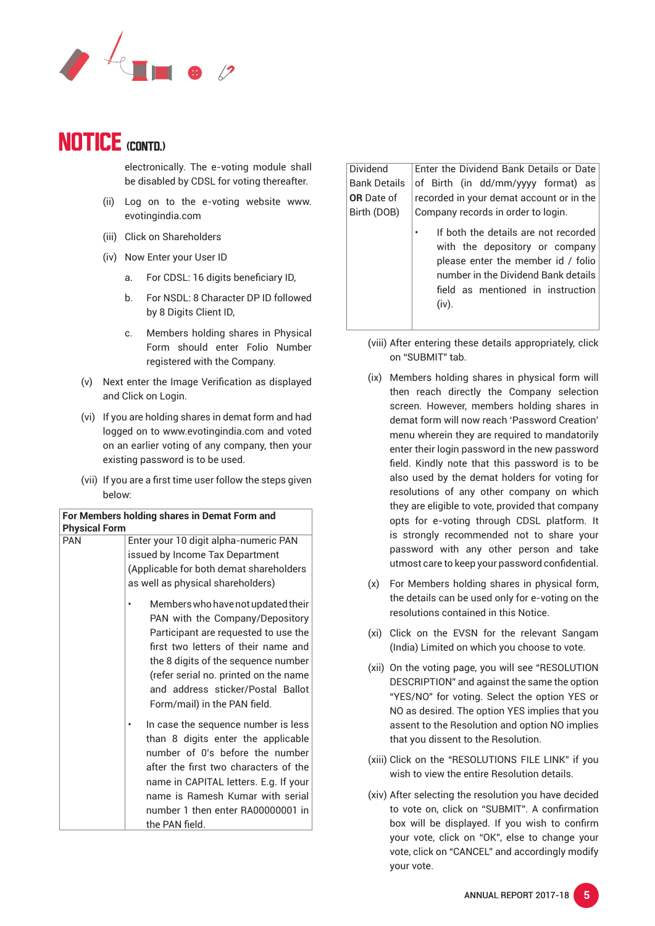

electronically. The e-voting module shall be disabled by CDSL for voting thereafter.

- (ii) Log on to the e-voting website www. evotingindia.com
- (iii) Click on Shareholders
- (iv) Now Enter your User ID
	- a. For CDSL: 16 digits beneficiary ID,
	- b. For NSDL: 8 Character DP ID followed by 8 Digits Client ID.
	- c. Members holding shares in Physical Form should enter Folio Number registered with the Company.
- (v) Next enter the Image Verification as displayed and Click on Login.
- (vi) If you are holding shares in demat form and had logged on to www.evotingindia.com and voted on an earlier voting of any company, then your existing password is to be used.
- (vii) If you are a first time user follow the steps given below:

| For Members holding shares in Demat Form and<br><b>Physical Form</b> |                                                                                                                                                                                                                                                                                                           |  |  |
|----------------------------------------------------------------------|-----------------------------------------------------------------------------------------------------------------------------------------------------------------------------------------------------------------------------------------------------------------------------------------------------------|--|--|
| <b>PAN</b>                                                           | Enter your 10 digit alpha-numeric PAN<br>issued by Income Tax Department<br>(Applicable for both demat shareholders<br>as well as physical shareholders)                                                                                                                                                  |  |  |
|                                                                      | Members who have not updated their<br>PAN with the Company/Depository<br>Participant are requested to use the<br>first two letters of their name and<br>the 8 digits of the sequence number<br>(refer serial no. printed on the name<br>and address sticker/Postal Ballot<br>Form/mail) in the PAN field. |  |  |
|                                                                      | In case the sequence number is less<br>than 8 digits enter the applicable<br>number of 0's before the number<br>after the first two characters of the<br>name in CAPITAL letters. E.g. If your<br>name is Ramesh Kumar with serial<br>number 1 then enter RA00000001 in<br>the PAN field.                 |  |  |

Dividend Bank Details **OR** Date of Birth (DOB) Enter the Dividend Bank Details or Date of Birth (in dd/mm/yyyy format) as recorded in your demat account or in the Company records in order to login.

- If both the details are not recorded with the depository or company please enter the member id / folio number in the Dividend Bank details field as mentioned in instruction (iv).
- (viii) After entering these details appropriately, click on "SUBMIT" tab.
- (ix) Members holding shares in physical form will then reach directly the Company selection screen. However, members holding shares in demat form will now reach 'Password Creation' menu wherein they are required to mandatorily enter their login password in the new password field. Kindly note that this password is to be also used by the demat holders for voting for resolutions of any other company on which they are eligible to vote, provided that company opts for e-voting through CDSL platform. It is strongly recommended not to share your password with any other person and take utmost care to keep your password confidential.
- (x) For Members holding shares in physical form, the details can be used only for e-voting on the resolutions contained in this Notice.
- (xi) Click on the EVSN for the relevant Sangam (India) Limited on which you choose to vote.
- (xii) On the voting page, you will see "RESOLUTION DESCRIPTION" and against the same the option "YES/NO" for voting. Select the option YES or NO as desired. The option YES implies that you assent to the Resolution and option NO implies that you dissent to the Resolution.
- (xiii) Click on the "RESOLUTIONS FILE LINK" if you wish to view the entire Resolution details.
- (xiv) After selecting the resolution you have decided to vote on, click on "SUBMIT". A confirmation box will be displayed. If you wish to confirm your vote, click on "OK", else to change your vote, click on "CANCEL" and accordingly modify your vote.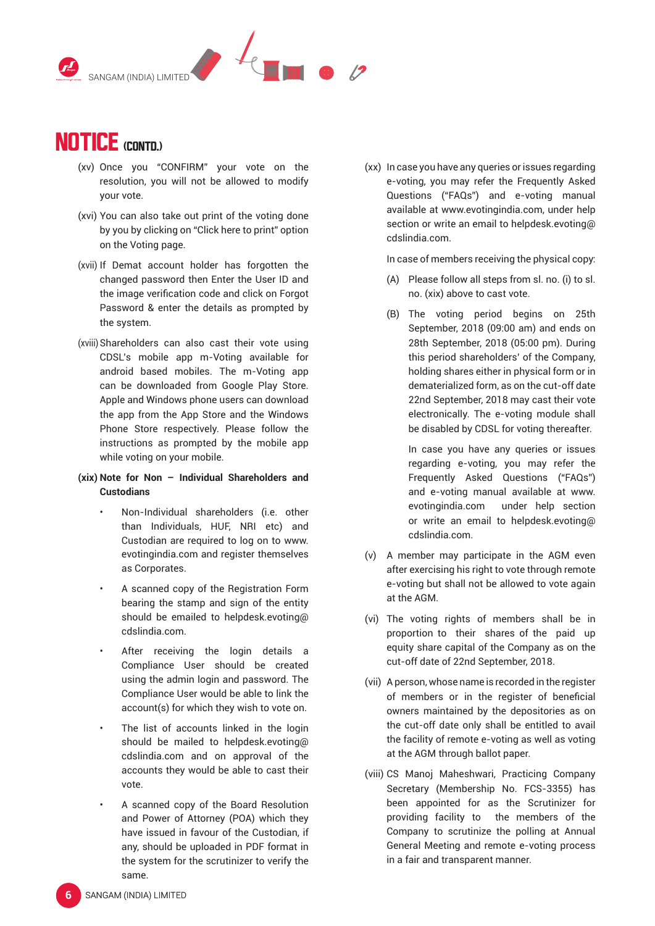

- (xv) Once you "CONFIRM" your vote on the resolution, you will not be allowed to modify your vote.
- (xvi) You can also take out print of the voting done by you by clicking on "Click here to print" option on the Voting page.
- (xvii) If Demat account holder has forgotten the changed password then Enter the User ID and the image verification code and click on Forgot Password & enter the details as prompted by the system.
- (xviii) Shareholders can also cast their vote using CDSL's mobile app m-Voting available for android based mobiles. The m-Voting app can be downloaded from Google Play Store. Apple and Windows phone users can download the app from the App Store and the Windows Phone Store respectively. Please follow the instructions as prompted by the mobile app while voting on your mobile.

### **(xix) Note for Non – Individual Shareholders and Custodians**

- Non-Individual shareholders (i.e. other than Individuals, HUF, NRI etc) and Custodian are required to log on to www. evotingindia.com and register themselves as Corporates.
- A scanned copy of the Registration Form bearing the stamp and sign of the entity should be emailed to helpdesk.evoting@ cdslindia.com.
- After receiving the login details a Compliance User should be created using the admin login and password. The Compliance User would be able to link the account(s) for which they wish to vote on.
- The list of accounts linked in the login should be mailed to helpdesk.evoting@ cdslindia.com and on approval of the accounts they would be able to cast their vote.
- A scanned copy of the Board Resolution and Power of Attorney (POA) which they have issued in favour of the Custodian, if any, should be uploaded in PDF format in the system for the scrutinizer to verify the same.

(xx) In case you have any queries or issues regarding e-voting, you may refer the Frequently Asked Questions ("FAQs") and e-voting manual available at www.evotingindia.com, under help section or write an email to helpdesk.evoting@ cdslindia.com.

In case of members receiving the physical copy:

- (A) Please follow all steps from sl. no. (i) to sl. no. (xix) above to cast vote.
- (B) The voting period begins on 25th September, 2018 (09:00 am) and ends on 28th September, 2018 (05:00 pm). During this period shareholders' of the Company, holding shares either in physical form or in dematerialized form, as on the cut-off date 22nd September, 2018 may cast their vote electronically. The e-voting module shall be disabled by CDSL for voting thereafter.

 In case you have any queries or issues regarding e-voting, you may refer the Frequently Asked Questions ("FAQs") and e-voting manual available at www. evotingindia.com under help section or write an email to helpdesk.evoting@ cdslindia.com.

- (v) A member may participate in the AGM even after exercising his right to vote through remote e-voting but shall not be allowed to vote again at the AGM.
- (vi) The voting rights of members shall be in proportion to their shares of the paid up equity share capital of the Company as on the cut-off date of 22nd September, 2018.
- (vii) A person, whose name is recorded in the register of members or in the register of beneficial owners maintained by the depositories as on the cut-off date only shall be entitled to avail the facility of remote e-voting as well as voting at the AGM through ballot paper.
- (viii) CS Manoj Maheshwari, Practicing Company Secretary (Membership No. FCS-3355) has been appointed for as the Scrutinizer for providing facility to the members of the Company to scrutinize the polling at Annual General Meeting and remote e-voting process in a fair and transparent manner.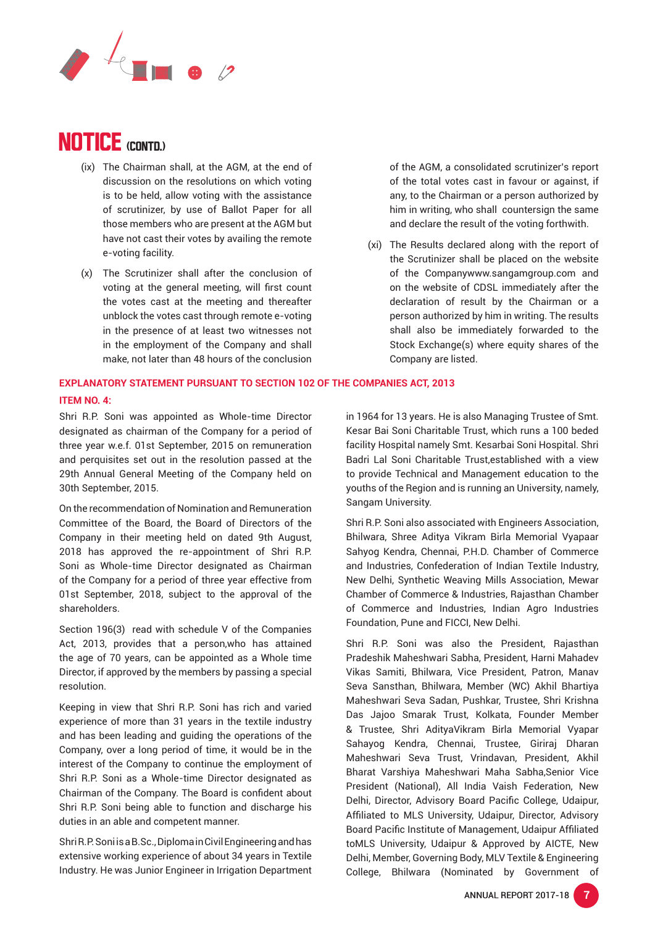

- (ix) The Chairman shall, at the AGM, at the end of discussion on the resolutions on which voting is to be held, allow voting with the assistance of scrutinizer, by use of Ballot Paper for all those members who are present at the AGM but have not cast their votes by availing the remote e-voting facility.
- (x) The Scrutinizer shall after the conclusion of voting at the general meeting, will first count the votes cast at the meeting and thereafter unblock the votes cast through remote e-voting in the presence of at least two witnesses not in the employment of the Company and shall make, not later than 48 hours of the conclusion

### **EXPLANATORY STATEMENT PURSUANT TO SECTION 102 OF THE COMPANIES ACT, 2013 ITEM NO. 4:**

Shri R.P. Soni was appointed as Whole-time Director designated as chairman of the Company for a period of three year w.e.f. 01st September, 2015 on remuneration and perquisites set out in the resolution passed at the 29th Annual General Meeting of the Company held on 30th September, 2015.

On the recommendation of Nomination and Remuneration Committee of the Board, the Board of Directors of the Company in their meeting held on dated 9th August, 2018 has approved the re-appointment of Shri R.P. Soni as Whole-time Director designated as Chairman of the Company for a period of three year effective from 01st September, 2018, subject to the approval of the shareholders.

Section 196(3) read with schedule V of the Companies Act, 2013, provides that a person,who has attained the age of 70 years, can be appointed as a Whole time Director, if approved by the members by passing a special resolution.

Keeping in view that Shri R.P. Soni has rich and varied experience of more than 31 years in the textile industry and has been leading and guiding the operations of the Company, over a long period of time, it would be in the interest of the Company to continue the employment of Shri R.P. Soni as a Whole-time Director designated as Chairman of the Company. The Board is confident about Shri R.P. Soni being able to function and discharge his duties in an able and competent manner.

Shri R.P. Soni is a B.Sc., Diploma in Civil Engineering and has extensive working experience of about 34 years in Textile Industry. He was Junior Engineer in Irrigation Department of the AGM, a consolidated scrutinizer's report of the total votes cast in favour or against, if any, to the Chairman or a person authorized by him in writing, who shall countersign the same and declare the result of the voting forthwith.

(xi) The Results declared along with the report of the Scrutinizer shall be placed on the website of the Companywww.sangamgroup.com and on the website of CDSL immediately after the declaration of result by the Chairman or a person authorized by him in writing. The results shall also be immediately forwarded to the Stock Exchange(s) where equity shares of the Company are listed.

in 1964 for 13 years. He is also Managing Trustee of Smt. Kesar Bai Soni Charitable Trust, which runs a 100 beded facility Hospital namely Smt. Kesarbai Soni Hospital. Shri Badri Lal Soni Charitable Trust,established with a view to provide Technical and Management education to the youths of the Region and is running an University, namely, Sangam University.

Shri R.P. Soni also associated with Engineers Association, Bhilwara, Shree Aditya Vikram Birla Memorial Vyapaar Sahyog Kendra, Chennai, P.H.D. Chamber of Commerce and Industries, Confederation of Indian Textile Industry, New Delhi, Synthetic Weaving Mills Association, Mewar Chamber of Commerce & Industries, Rajasthan Chamber of Commerce and Industries, Indian Agro Industries Foundation, Pune and FICCI, New Delhi.

Shri R.P. Soni was also the President, Rajasthan Pradeshik Maheshwari Sabha, President, Harni Mahadev Vikas Samiti, Bhilwara, Vice President, Patron, Manav Seva Sansthan, Bhilwara, Member (WC) Akhil Bhartiya Maheshwari Seva Sadan, Pushkar, Trustee, Shri Krishna Das Jajoo Smarak Trust, Kolkata, Founder Member & Trustee, Shri AdityaVikram Birla Memorial Vyapar Sahayog Kendra, Chennai, Trustee, Giriraj Dharan Maheshwari Seva Trust, Vrindavan, President, Akhil Bharat Varshiya Maheshwari Maha Sabha,Senior Vice President (National), All India Vaish Federation, New Delhi, Director, Advisory Board Pacific College, Udaipur, Affiliated to MLS University, Udaipur, Director, Advisory Board Pacific Institute of Management, Udaipur Affiliated toMLS University, Udaipur & Approved by AICTE, New Delhi, Member, Governing Body, MLV Textile & Engineering College, Bhilwara (Nominated by Government of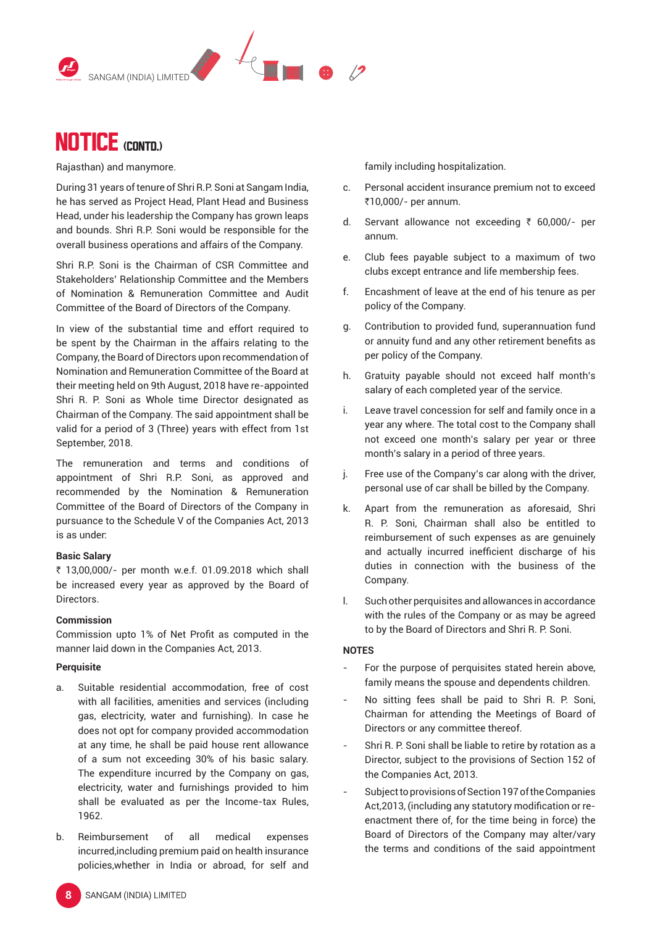



Rajasthan) and manymore.

During 31 years of tenure of Shri R.P. Soni at Sangam India, he has served as Project Head, Plant Head and Business Head, under his leadership the Company has grown leaps and bounds. Shri R.P. Soni would be responsible for the overall business operations and affairs of the Company.

Shri R.P. Soni is the Chairman of CSR Committee and Stakeholders' Relationship Committee and the Members of Nomination & Remuneration Committee and Audit Committee of the Board of Directors of the Company.

In view of the substantial time and effort required to be spent by the Chairman in the affairs relating to the Company, the Board of Directors upon recommendation of Nomination and Remuneration Committee of the Board at their meeting held on 9th August, 2018 have re-appointed Shri R. P. Soni as Whole time Director designated as Chairman of the Company. The said appointment shall be valid for a period of 3 (Three) years with effect from 1st September, 2018.

The remuneration and terms and conditions of appointment of Shri R.P. Soni, as approved and recommended by the Nomination & Remuneration Committee of the Board of Directors of the Company in pursuance to the Schedule V of the Companies Act, 2013 is as under:

#### **Basic Salary**

₹ 13,00,000/- per month w.e.f. 01.09.2018 which shall be increased every year as approved by the Board of Directors.

#### **Commission**

Commission upto 1% of Net Profit as computed in the manner laid down in the Companies Act, 2013.

#### **Perquisite**

- a. Suitable residential accommodation, free of cost with all facilities, amenities and services (including gas, electricity, water and furnishing). In case he does not opt for company provided accommodation at any time, he shall be paid house rent allowance of a sum not exceeding 30% of his basic salary. The expenditure incurred by the Company on gas, electricity, water and furnishings provided to him shall be evaluated as per the Income-tax Rules, 1962.
- b. Reimbursement of all medical expenses incurred,including premium paid on health insurance policies,whether in India or abroad, for self and

family including hospitalization.

- c. Personal accident insurance premium not to exceed ₹10,000/- per annum.
- d. Servant allowance not exceeding  $\bar{\tau}$  60,000/- per annum.
- e. Club fees payable subject to a maximum of two clubs except entrance and life membership fees.
- f. Encashment of leave at the end of his tenure as per policy of the Company.
- g. Contribution to provided fund, superannuation fund or annuity fund and any other retirement benefits as per policy of the Company.
- h. Gratuity payable should not exceed half month's salary of each completed year of the service.
- i. Leave travel concession for self and family once in a year any where. The total cost to the Company shall not exceed one month's salary per year or three month's salary in a period of three years.
- j. Free use of the Company's car along with the driver, personal use of car shall be billed by the Company.
- k. Apart from the remuneration as aforesaid, Shri R. P. Soni, Chairman shall also be entitled to reimbursement of such expenses as are genuinely and actually incurred inefficient discharge of his duties in connection with the business of the Company.
- l. Such other perquisites and allowances in accordance with the rules of the Company or as may be agreed to by the Board of Directors and Shri R. P. Soni.

#### **NOTES**

- For the purpose of perquisites stated herein above, family means the spouse and dependents children.
- No sitting fees shall be paid to Shri R. P. Soni, Chairman for attending the Meetings of Board of Directors or any committee thereof.
- Shri R. P. Soni shall be liable to retire by rotation as a Director, subject to the provisions of Section 152 of the Companies Act, 2013.
- Subject to provisions of Section 197 of the Companies Act,2013, (including any statutory modification or reenactment there of, for the time being in force) the Board of Directors of the Company may alter/vary the terms and conditions of the said appointment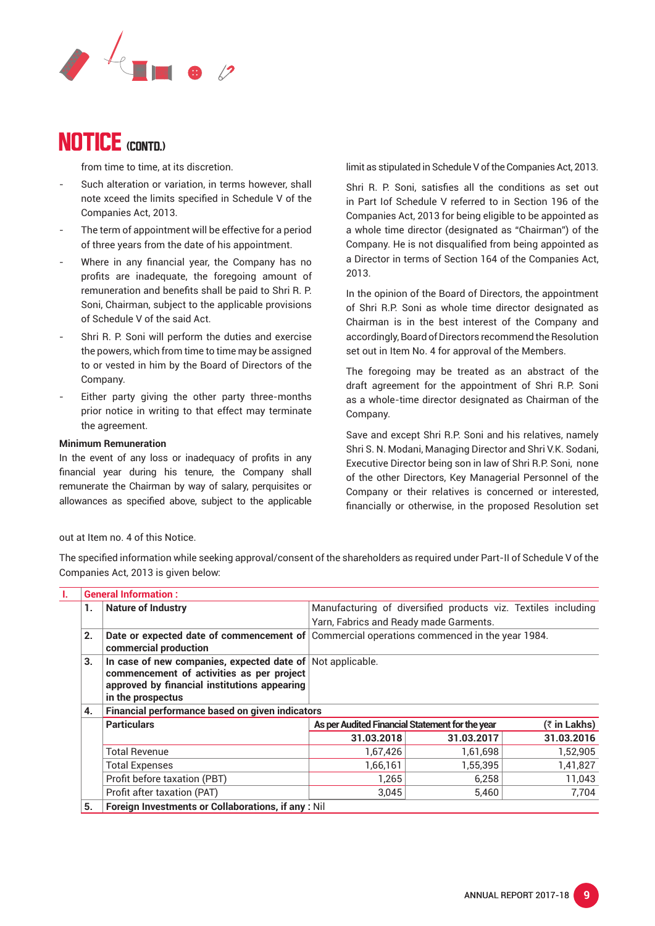

from time to time, at its discretion.

- Such alteration or variation, in terms however, shall note xceed the limits specified in Schedule V of the Companies Act, 2013.
- The term of appointment will be effective for a period of three years from the date of his appointment.
- Where in any financial year, the Company has no profits are inadequate, the foregoing amount of remuneration and benefits shall be paid to Shri R. P. Soni, Chairman, subject to the applicable provisions of Schedule V of the said Act.
- Shri R. P. Soni will perform the duties and exercise the powers, which from time to time may be assigned to or vested in him by the Board of Directors of the Company.
- Either party giving the other party three-months prior notice in writing to that effect may terminate the agreement.

#### **Minimum Remuneration**

In the event of any loss or inadequacy of profits in any financial year during his tenure, the Company shall remunerate the Chairman by way of salary, perquisites or allowances as specified above, subject to the applicable limit as stipulated in Schedule V of the Companies Act, 2013.

Shri R. P. Soni, satisfies all the conditions as set out in Part Iof Schedule V referred to in Section 196 of the Companies Act, 2013 for being eligible to be appointed as a whole time director (designated as "Chairman") of the Company. He is not disqualified from being appointed as a Director in terms of Section 164 of the Companies Act, 2013.

In the opinion of the Board of Directors, the appointment of Shri R.P. Soni as whole time director designated as Chairman is in the best interest of the Company and accordingly, Board of Directors recommend the Resolution set out in Item No. 4 for approval of the Members.

The foregoing may be treated as an abstract of the draft agreement for the appointment of Shri R.P. Soni as a whole-time director designated as Chairman of the Company.

Save and except Shri R.P. Soni and his relatives, namely Shri S. N. Modani, Managing Director and Shri V.K. Sodani, Executive Director being son in law of Shri R.P. Soni, none of the other Directors, Key Managerial Personnel of the Company or their relatives is concerned or interested, financially or otherwise, in the proposed Resolution set

#### out at Item no. 4 of this Notice.

The specified information while seeking approval/consent of the shareholders as required under Part-II of Schedule V of the Companies Act, 2013 is given below:

|    | <b>General Information:</b>                                                                                                                                                  |                                                   |                                                               |            |  |
|----|------------------------------------------------------------------------------------------------------------------------------------------------------------------------------|---------------------------------------------------|---------------------------------------------------------------|------------|--|
| 1. | <b>Nature of Industry</b>                                                                                                                                                    |                                                   | Manufacturing of diversified products viz. Textiles including |            |  |
|    |                                                                                                                                                                              | Yarn, Fabrics and Ready made Garments.            |                                                               |            |  |
| 2. | Date or expected date of commencement of<br>commercial production                                                                                                            | Commercial operations commenced in the year 1984. |                                                               |            |  |
| 3. | In case of new companies, expected date of Not applicable.<br>commencement of activities as per project<br>approved by financial institutions appearing<br>in the prospectus |                                                   |                                                               |            |  |
| 4. | <b>Financial performance based on given indicators</b>                                                                                                                       |                                                   |                                                               |            |  |
|    | <b>Particulars</b>                                                                                                                                                           |                                                   | As per Audited Financial Statement for the year               |            |  |
|    |                                                                                                                                                                              | 31.03.2018                                        | 31.03.2017                                                    | 31.03.2016 |  |
|    | <b>Total Revenue</b>                                                                                                                                                         | 1,67,426                                          | 1,61,698                                                      | 1,52,905   |  |
|    | <b>Total Expenses</b>                                                                                                                                                        | 1,66,161                                          | 1,55,395                                                      | 1,41,827   |  |
|    | Profit before taxation (PBT)                                                                                                                                                 | 1,265                                             | 6,258                                                         | 11,043     |  |
|    | Profit after taxation (PAT)                                                                                                                                                  | 3,045                                             | 5.460                                                         | 7.704      |  |
| 5. | Foreign Investments or Collaborations, if any : Nil                                                                                                                          |                                                   |                                                               |            |  |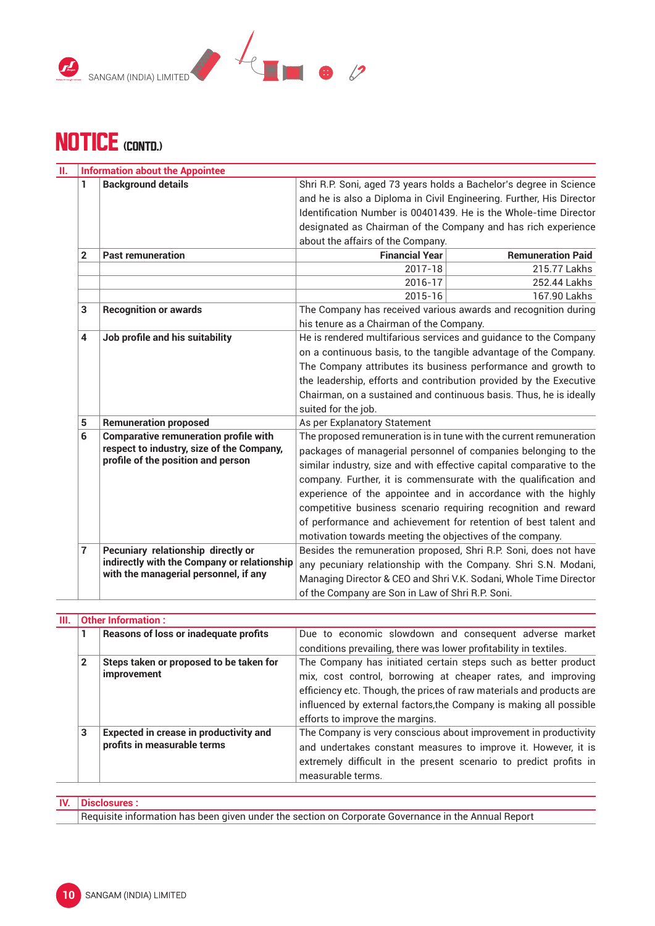



| н. |                | <b>Information about the Appointee</b>       |                                                                                                                                          |                                                                      |  |  |
|----|----------------|----------------------------------------------|------------------------------------------------------------------------------------------------------------------------------------------|----------------------------------------------------------------------|--|--|
|    | 1              | <b>Background details</b>                    | Shri R.P. Soni, aged 73 years holds a Bachelor's degree in Science                                                                       |                                                                      |  |  |
|    |                |                                              | and he is also a Diploma in Civil Engineering. Further, His Director<br>Identification Number is 00401439. He is the Whole-time Director |                                                                      |  |  |
|    |                |                                              |                                                                                                                                          |                                                                      |  |  |
|    |                |                                              |                                                                                                                                          | designated as Chairman of the Company and has rich experience        |  |  |
|    |                |                                              | about the affairs of the Company.                                                                                                        |                                                                      |  |  |
|    | $\mathbf{2}$   | <b>Past remuneration</b>                     | <b>Financial Year</b>                                                                                                                    | <b>Remuneration Paid</b>                                             |  |  |
|    |                |                                              | 2017-18                                                                                                                                  | 215.77 Lakhs                                                         |  |  |
|    |                |                                              | 2016-17                                                                                                                                  | 252.44 Lakhs                                                         |  |  |
|    |                |                                              | 2015-16                                                                                                                                  | 167.90 Lakhs                                                         |  |  |
|    | 3              | <b>Recognition or awards</b>                 | The Company has received various awards and recognition during                                                                           |                                                                      |  |  |
|    |                |                                              | his tenure as a Chairman of the Company.                                                                                                 |                                                                      |  |  |
|    | 4              | Job profile and his suitability              |                                                                                                                                          | He is rendered multifarious services and guidance to the Company     |  |  |
|    |                |                                              |                                                                                                                                          | on a continuous basis, to the tangible advantage of the Company.     |  |  |
|    |                |                                              |                                                                                                                                          | The Company attributes its business performance and growth to        |  |  |
|    |                |                                              |                                                                                                                                          | the leadership, efforts and contribution provided by the Executive   |  |  |
|    |                |                                              |                                                                                                                                          | Chairman, on a sustained and continuous basis. Thus, he is ideally   |  |  |
|    |                |                                              | suited for the job.                                                                                                                      |                                                                      |  |  |
|    | 5              | <b>Remuneration proposed</b>                 | As per Explanatory Statement                                                                                                             |                                                                      |  |  |
|    | 6              | <b>Comparative remuneration profile with</b> | The proposed remuneration is in tune with the current remuneration<br>packages of managerial personnel of companies belonging to the     |                                                                      |  |  |
|    |                | respect to industry, size of the Company,    |                                                                                                                                          |                                                                      |  |  |
|    |                | profile of the position and person           |                                                                                                                                          | similar industry, size and with effective capital comparative to the |  |  |
|    |                |                                              |                                                                                                                                          | company. Further, it is commensurate with the qualification and      |  |  |
|    |                |                                              |                                                                                                                                          | experience of the appointee and in accordance with the highly        |  |  |
|    |                |                                              |                                                                                                                                          | competitive business scenario requiring recognition and reward       |  |  |
|    |                |                                              |                                                                                                                                          | of performance and achievement for retention of best talent and      |  |  |
|    |                |                                              | motivation towards meeting the objectives of the company.                                                                                |                                                                      |  |  |
|    | $\overline{7}$ | Pecuniary relationship directly or           |                                                                                                                                          | Besides the remuneration proposed, Shri R.P. Soni, does not have     |  |  |
|    |                | indirectly with the Company or relationship  | any pecuniary relationship with the Company. Shri S.N. Modani,                                                                           |                                                                      |  |  |
|    |                | with the managerial personnel, if any        | Managing Director & CEO and Shri V.K. Sodani, Whole Time Director                                                                        |                                                                      |  |  |
|    |                |                                              | of the Company are Son in Law of Shri R.P. Soni.                                                                                         |                                                                      |  |  |

| Ш. | <b>Other Information:</b> |                                                                              |                                                                                                                                                                                                                                                                                                                 |  |  |  |
|----|---------------------------|------------------------------------------------------------------------------|-----------------------------------------------------------------------------------------------------------------------------------------------------------------------------------------------------------------------------------------------------------------------------------------------------------------|--|--|--|
|    |                           | <b>Reasons of loss or inadequate profits</b>                                 | Due to economic slowdown and consequent adverse market<br>conditions prevailing, there was lower profitability in textiles.                                                                                                                                                                                     |  |  |  |
|    | $\overline{2}$            | Steps taken or proposed to be taken for<br><i>improvement</i>                | The Company has initiated certain steps such as better product<br>mix, cost control, borrowing at cheaper rates, and improving<br>efficiency etc. Though, the prices of raw materials and products are<br>influenced by external factors, the Company is making all possible<br>efforts to improve the margins. |  |  |  |
|    | 3                         | <b>Expected in crease in productivity and</b><br>profits in measurable terms | The Company is very conscious about improvement in productivity<br>and undertakes constant measures to improve it. However, it is<br>extremely difficult in the present scenario to predict profits in<br>measurable terms.                                                                                     |  |  |  |

## **IV. Disclosures :**

Requisite information has been given under the section on Corporate Governance in the Annual Report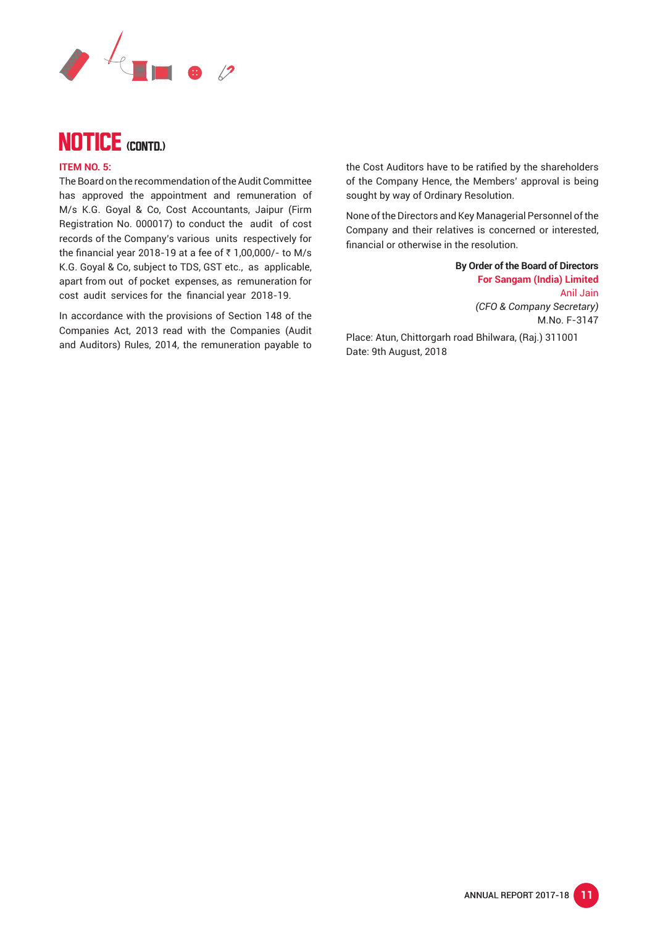



#### **ITEM NO. 5:**

The Board on the recommendation of the Audit Committee has approved the appointment and remuneration of M/s K.G. Goyal & Co, Cost Accountants, Jaipur (Firm Registration No. 000017) to conduct the audit of cost records of the Company's various units respectively for the financial year 2018-19 at a fee of  $\bar{\tau}$  1,00,000/- to M/s K.G. Goyal & Co, subject to TDS, GST etc., as applicable, apart from out of pocket expenses, as remuneration for cost audit services for the financial year 2018-19.

In accordance with the provisions of Section 148 of the Companies Act, 2013 read with the Companies (Audit and Auditors) Rules, 2014, the remuneration payable to the Cost Auditors have to be ratified by the shareholders of the Company Hence, the Members' approval is being sought by way of Ordinary Resolution.

None of the Directors and Key Managerial Personnel of the Company and their relatives is concerned or interested, financial or otherwise in the resolution.

> **By Order of the Board of Directors For Sangam (India) Limited** Anil Jain  *(CFO & Company Secretary)* M.No. F-3147

Place: Atun, Chittorgarh road Bhilwara, (Raj.) 311001 Date: 9th August, 2018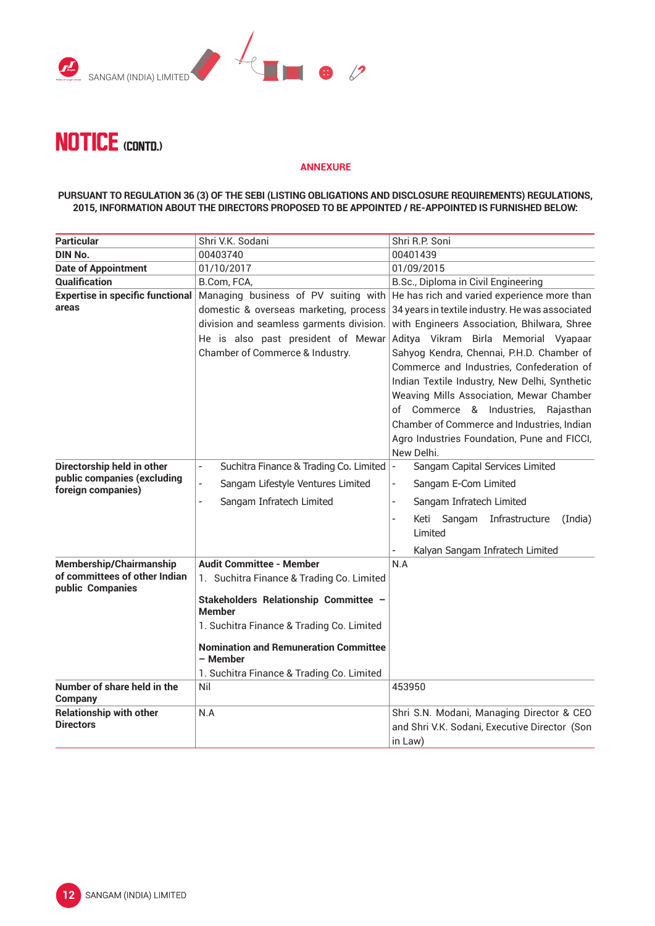



#### **ANNEXURE**

#### **PURSUANT TO REGULATION 36 (3) OF THE SEBI (LISTING OBLIGATIONS AND DISCLOSURE REQUIREMENTS) REGULATIONS, 2015, INFORMATION ABOUT THE DIRECTORS PROPOSED TO BE APPOINTED / RE-APPOINTED IS FURNISHED BELOW:**

| <b>Particular</b>                                  | Shri V.K. Sodani                                                   | Shri R.P. Soni                                                                                        |  |  |
|----------------------------------------------------|--------------------------------------------------------------------|-------------------------------------------------------------------------------------------------------|--|--|
| <b>DIN No.</b>                                     | 00403740                                                           | 00401439                                                                                              |  |  |
| <b>Date of Appointment</b>                         | 01/10/2017                                                         | 01/09/2015                                                                                            |  |  |
| Qualification                                      | B.Com, FCA,                                                        | B.Sc., Diploma in Civil Engineering                                                                   |  |  |
| <b>Expertise in specific functional</b>            | Managing business of PV suiting with                               | He has rich and varied experience more than                                                           |  |  |
| areas                                              | 34 years in textile industry. He was associated                    |                                                                                                       |  |  |
|                                                    | division and seamless garments division.                           | with Engineers Association, Bhilwara, Shree                                                           |  |  |
|                                                    | He is also past president of Mewar                                 | Aditya Vikram Birla Memorial Vyapaar                                                                  |  |  |
|                                                    | Chamber of Commerce & Industry.                                    | Sahyog Kendra, Chennai, P.H.D. Chamber of                                                             |  |  |
|                                                    |                                                                    | Commerce and Industries, Confederation of                                                             |  |  |
|                                                    |                                                                    | Indian Textile Industry, New Delhi, Synthetic                                                         |  |  |
|                                                    |                                                                    | Weaving Mills Association, Mewar Chamber                                                              |  |  |
|                                                    |                                                                    | of Commerce & Industries, Rajasthan                                                                   |  |  |
|                                                    |                                                                    | Chamber of Commerce and Industries, Indian                                                            |  |  |
|                                                    |                                                                    | Agro Industries Foundation, Pune and FICCI,                                                           |  |  |
|                                                    |                                                                    | New Delhi.                                                                                            |  |  |
| Directorship held in other                         | Suchitra Finance & Trading Co. Limited<br>$\overline{\phantom{a}}$ | Sangam Capital Services Limited<br>$\overline{\phantom{a}}$                                           |  |  |
| public companies (excluding<br>foreign companies)  | $\overline{a}$<br>Sangam Lifestyle Ventures Limited                | Sangam E-Com Limited<br>$\overline{\phantom{0}}$                                                      |  |  |
|                                                    | Sangam Infratech Limited<br>$\overline{a}$                         | Sangam Infratech Limited<br>$\frac{1}{2}$                                                             |  |  |
|                                                    |                                                                    | Keti Sangam<br>Infrastructure<br>(India)<br>$\overline{a}$                                            |  |  |
|                                                    |                                                                    | Limited                                                                                               |  |  |
|                                                    |                                                                    | Kalyan Sangam Infratech Limited                                                                       |  |  |
| Membership/Chairmanship                            | <b>Audit Committee - Member</b>                                    | N.A                                                                                                   |  |  |
| of committees of other Indian<br>public Companies  | 1. Suchitra Finance & Trading Co. Limited                          |                                                                                                       |  |  |
|                                                    | Stakeholders Relationship Committee -<br><b>Member</b>             |                                                                                                       |  |  |
|                                                    | 1. Suchitra Finance & Trading Co. Limited                          |                                                                                                       |  |  |
|                                                    | <b>Nomination and Remuneration Committee</b><br>– Member           |                                                                                                       |  |  |
|                                                    | 1. Suchitra Finance & Trading Co. Limited                          |                                                                                                       |  |  |
| Number of share held in the<br><b>Company</b>      | Nil                                                                | 453950                                                                                                |  |  |
| <b>Relationship with other</b><br><b>Directors</b> | N.A                                                                | Shri S.N. Modani, Managing Director & CEO<br>and Shri V.K. Sodani, Executive Director (Son<br>in Law) |  |  |
|                                                    |                                                                    |                                                                                                       |  |  |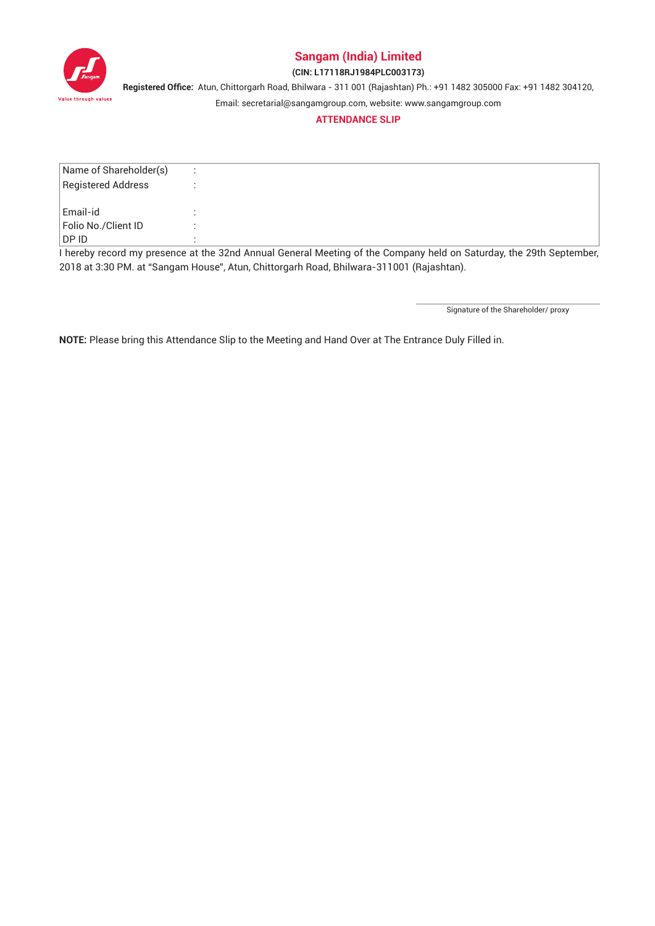

### **(CIN: L17118RJ1984PLC003173)**

**Registered Office:** Atun, Chittorgarh Road, Bhilwara - 311 001 (Rajashtan) Ph.: +91 1482 305000 Fax: +91 1482 304120,

Email: secretarial@sangamgroup.com, website: www.sangamgroup.com

#### **ATTENDANCE SLIP**

| Name of Shareholder(s) |                                                                                                                     |
|------------------------|---------------------------------------------------------------------------------------------------------------------|
| Registered Address     |                                                                                                                     |
|                        |                                                                                                                     |
| Email-id               |                                                                                                                     |
| Folio No./Client ID    |                                                                                                                     |
| ∣DP ID                 |                                                                                                                     |
|                        | I hereby record my presence at the 32nd Annual General Meeting of the Company held on Saturday, the 29th September, |

2018 at 3:30 PM. at "Sangam House", Atun, Chittorgarh Road, Bhilwara-311001 (Rajashtan).

Signature of the Shareholder/ proxy

**NOTE:** Please bring this Attendance Slip to the Meeting and Hand Over at The Entrance Duly Filled in.